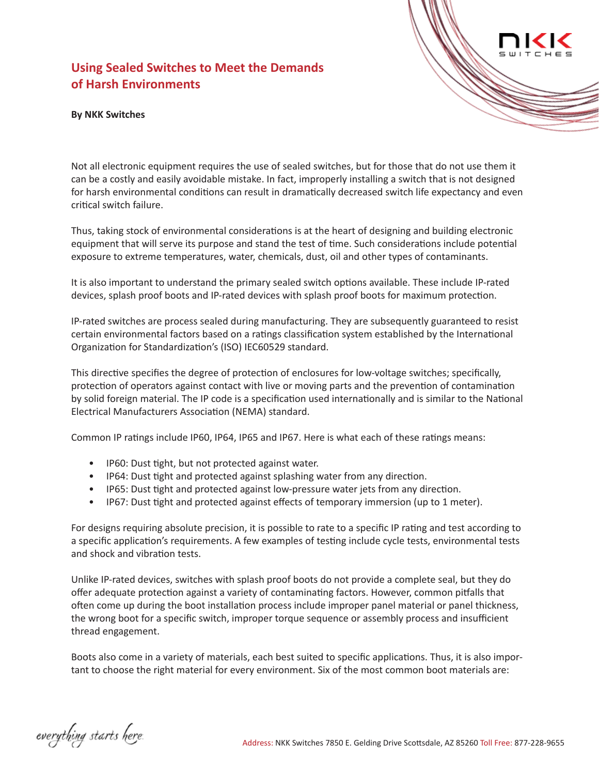## **Using Sealed Switches to Meet the Demands of Harsh Environments**

## **By NKK Switches**



Not all electronic equipment requires the use of sealed switches, but for those that do not use them it can be a costly and easily avoidable mistake. In fact, improperly installing a switch that is not designed for harsh environmental conditions can result in dramatically decreased switch life expectancy and even critical switch failure.

Thus, taking stock of environmental considerations is at the heart of designing and building electronic equipment that will serve its purpose and stand the test of time. Such considerations include potential exposure to extreme temperatures, water, chemicals, dust, oil and other types of contaminants.

It is also important to understand the primary sealed switch options available. These include IP-rated devices, splash proof boots and IP-rated devices with splash proof boots for maximum protection.

IP-rated switches are process sealed during manufacturing. They are subsequently guaranteed to resist certain environmental factors based on a ratings classification system established by the International Organization for Standardization's (ISO) IEC60529 standard.

This directive specifies the degree of protection of enclosures for low-voltage switches; specifically, protection of operators against contact with live or moving parts and the prevention of contamination by solid foreign material. The IP code is a specification used internationally and is similar to the National Electrical Manufacturers Association (NEMA) standard.

Common IP ratings include IP60, IP64, IP65 and IP67. Here is what each of these ratings means:

- IP60: Dust tight, but not protected against water.
- IP64: Dust tight and protected against splashing water from any direction.
- IP65: Dust tight and protected against low-pressure water jets from any direction.
- IP67: Dust tight and protected against effects of temporary immersion (up to 1 meter).

For designs requiring absolute precision, it is possible to rate to a specific IP rating and test according to a specific application's requirements. A few examples of testing include cycle tests, environmental tests and shock and vibration tests.

Unlike IP-rated devices, switches with splash proof boots do not provide a complete seal, but they do offer adequate protection against a variety of contaminating factors. However, common pitfalls that often come up during the boot installation process include improper panel material or panel thickness, the wrong boot for a specific switch, improper torque sequence or assembly process and insufficient thread engagement.

Boots also come in a variety of materials, each best suited to specific applications. Thus, it is also important to choose the right material for every environment. Six of the most common boot materials are:

everything starts here.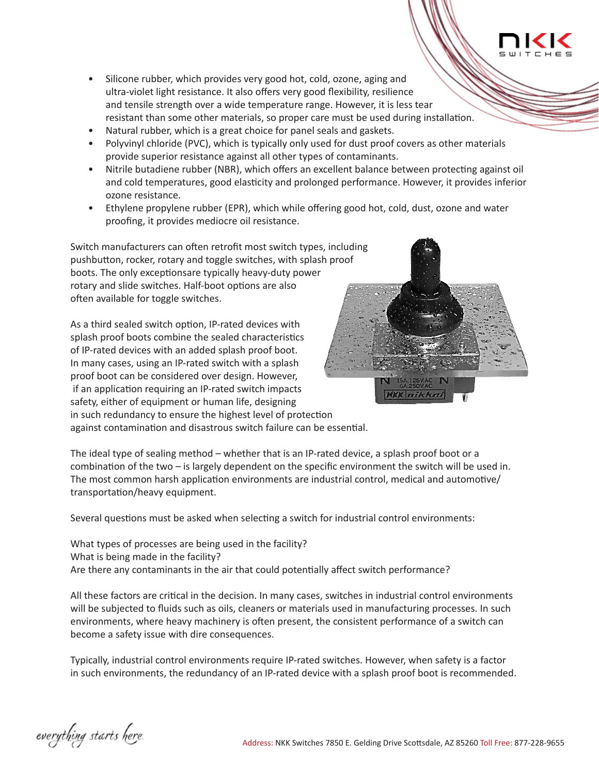

- Silicone rubber, which provides very good hot, cold, ozone, aging and ultra-violet light resistance. It also offers very good flexibility, resilience and tensile strength over a wide temperature range. However, it is less tear resistant than some other materials, so proper care must be used during installation.
- Natural rubber, which is a great choice for panel seals and gaskets.
- Polyvinyl chloride (PVC), which is typically only used for dust proof covers as other materials provide superior resistance against all other types of contaminants.
- Nitrile butadiene rubber (NBR), which offers an excellent balance between protecting against oil and cold temperatures, good elasticity and prolonged performance. However, it provides inferior ozone resistance.
- Ethylene propylene rubber (EPR), which while offering good hot, cold, dust, ozone and water proofing, it provides mediocre oil resistance.

Switch manufacturers can often retrofit most switch types, including pushbutton, rocker, rotary and toggle switches, with splash proof boots. The only exceptionsare typically heavy-duty power rotary and slide switches. Half-boot options are also often available for toggle switches.

As a third sealed switch option, IP-rated devices with splash proof boots combine the sealed characteristics of IP-rated devices with an added splash proof boot. In many cases, using an IP-rated switch with a splash proof boot can be considered over design. However, if an application requiring an IP-rated switch impacts safety, either of equipment or human life, designing in such redundancy to ensure the highest level of protection against contamination and disastrous switch failure can be essential.



The ideal type of sealing method – whether that is an IP-rated device, a splash proof boot or a combination of the two – is largely dependent on the specific environment the switch will be used in. The most common harsh application environments are industrial control, medical and automotive/ transportation/heavy equipment.

Several questions must be asked when selecting a switch for industrial control environments:

What types of processes are being used in the facility? What is being made in the facility? Are there any contaminants in the air that could potentially affect switch performance?

All these factors are critical in the decision. In many cases, switches in industrial control environments will be subjected to fluids such as oils, cleaners or materials used in manufacturing processes. In such environments, where heavy machinery is often present, the consistent performance of a switch can become a safety issue with dire consequences.

Typically, industrial control environments require IP-rated switches. However, when safety is a factor in such environments, the redundancy of an IP-rated device with a splash proof boot is recommended.

everything starts here.